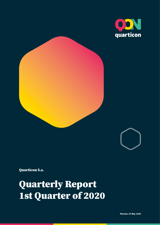





Quarticon S.a.

Quarterly Report 1st Quarter of 2020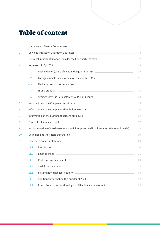## <span id="page-1-0"></span>Table of content

| 1  | Management Board's Commentary [2012] [2013] Management Board's Commentary<br>$\overline{2}$                                                                     |                                                                                                                                                                                                                                      |        |
|----|-----------------------------------------------------------------------------------------------------------------------------------------------------------------|--------------------------------------------------------------------------------------------------------------------------------------------------------------------------------------------------------------------------------------|--------|
| 2  | Covid-19 impact on QuarticOn's business<br>the control of the control of the control of the control of the control of the control of<br>4                       |                                                                                                                                                                                                                                      |        |
| 3  | The most important financial data for the first quarter of 2020<br>$\overline{7}$<br>the control of the control of the control of the control of the control of |                                                                                                                                                                                                                                      |        |
| 4  |                                                                                                                                                                 | Key events in Q1 2020<br>and the control of the control of the control of the control of the control of the control of the control of the                                                                                            | 10     |
|    | 4.1                                                                                                                                                             | Polish market (share of sales in the quarter: 64%)                                                                                                                                                                                   | $10$   |
|    | 4.2                                                                                                                                                             | Foreign markets (share of sales in the quarter: 36%) [19] The matter of sales in the quarter: 36%)                                                                                                                                   | $11\,$ |
|    | 4.3                                                                                                                                                             | Marketing and customer success <b>Constanting and COST</b>                                                                                                                                                                           | $11$   |
|    | 4.4                                                                                                                                                             | <u> 1989 - Johann Harry Harry Harry Harry Harry Harry Harry Harry Harry Harry Harry Harry Harry Harry Harry Harry</u><br>IT and products                                                                                             | 13     |
|    | 4.5                                                                                                                                                             | Average Revenue Per Customer (ARPC) and churn <b>Community Control Control Control Control Control Control Control Control Control Control Control Control Control Control Control Control Control Control Control Control Contr</b> | $14\,$ |
| 5  |                                                                                                                                                                 | Information on the Company's subsidiaries <b>contract to the Company's subsidiaries</b>                                                                                                                                              | $15\,$ |
| 6  |                                                                                                                                                                 | Information on the Company's shareholder structure                                                                                                                                                                                   | $16$   |
| 7  | Information on the number of persons employed<br><u> 1990 - John Stein, Amerikaansk politiker (</u><br>$17\,$                                                   |                                                                                                                                                                                                                                      |        |
| 8  | Forecasts of financial results<br>$17\,$                                                                                                                        |                                                                                                                                                                                                                                      |        |
| 9  |                                                                                                                                                                 | Implementation of the development activities presented in Information Memorandum (DI)                                                                                                                                                | 18     |
| 10 |                                                                                                                                                                 | Definition and indicators explanation                                                                                                                                                                                                | 19     |
| 11 |                                                                                                                                                                 | Shortened financial statement experience and the statement of the statement of the statement of the statement                                                                                                                        | 20     |
|    | 11.1                                                                                                                                                            | Introduction<br><u> 1989 - Johann Stein, marwolaethau a bhann an t-Amhain ann an t-Amhain an t-Amhain an t-Amhain an t-Amhain an </u>                                                                                                | 20     |
|    | 11.2                                                                                                                                                            | <b>Balance sheet</b><br><u> 1989 - Johann Stein, marwolaethau a bhann an t-Amhain ann an t-Amhain an t-Amhain an t-Amhain an t-Amhain an </u>                                                                                        | 21     |
|    | 11.3                                                                                                                                                            | Profit and loss statement<br><u> 1989 - Johann John Stein, markin fan it ferstjer fan de ferstjer fan it ferstjer fan it ferstjer fan it fers</u>                                                                                    | 26     |
|    | 11.4                                                                                                                                                            | Cash flow statement                                                                                                                                                                                                                  | 28     |
|    | 11.5                                                                                                                                                            | Statement of changes in equity                                                                                                                                                                                                       | 30     |
|    | 11.6                                                                                                                                                            | Additional information (1st quarter of 2020)                                                                                                                                                                                         | 32     |
|    | $11.7\,$                                                                                                                                                        | Principles adopted for drawing up of the financial statement [100] [10] Principles adopted for drawing up of the financial statement                                                                                                 | 33     |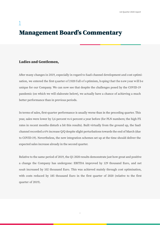## <span id="page-2-0"></span>1 Management Board's Commentary

#### Ladies and Gentlemen,

After many changes in 2019, especially in regard to SaaS channel development and cost optimisation, we entered the first quarter of 2020 full of optimism, hoping that the new year will be unique for our Company. We can now see that despite the challenges posed by the COVID-19 pandemic (on which we will elaborate below), we actually have a chance of achieving a much better performance than in previous periods.

In terms of sales, first-quarter performance is usually worse than in the preceding quarter. This year, sales were lower by 3,6 percent vs 6 percent a year before (for PLN numbers; the high FX rates in recent months disturb a bit this results). Built virtually from the ground up, the SaaS channel recorded a 6% increase Q/Q despite slight perturbations towards the end of March (due to COVID-19). Nevertheless, the new integration schemes set up at the time should deliver the expected sales increase already in the second quarter.

Relative to the same period of 2019, the Q1 2020 results demonstrate just how great and positive a change the Company has undergone: EBITDA improved by 129 thousand Euro, and net result increased by 102 thousand Euro. This was achieved mainly through cost optimisation, with costs reduced by 185 thousand Euro in the first quarter of 2020 (relative to the first quarter of 2019).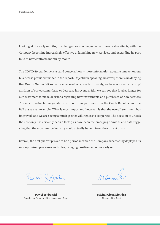QuarticOn S.A.

Looking at the early months, the changes are starting to deliver measurable effects, with the Company becoming increasingly effective at launching new services, and expanding its portfolio of new contracts month by month.

The COVID-19 pandemic is a valid concern here – more information about its impact on our business is provided further in the report. Objectively speaking, however, there is no denying that QuarticOn has felt some its adverse effects, too. Fortunately, we have not seen an abrupt attrition of our customer base or decrease in revenue. Still, we can see that it takes longer for our customers to make decisions regarding new investments and purchases of new services. The much protracted negotiations with our new partners from the Czech Republic and the Balkans are an example. What is most important, however, is that the overall sentiment has improved, and we are seeing a much greater willingness to cooperate. The decision to unlock the economy has certainly been a factor, as have been the emerging opinions and data suggesting that the e-commerce industry could actually benefit from the current crisis.

Overall, the first quarter proved to be a period in which the Company successfully deployed its new optimised processes and rules, bringing positive outcomes early on.

Paret X North.

Paweł Wyborski Founder and President of the Management Board

MA Gragican

Michał Giergielewicz Member of the Board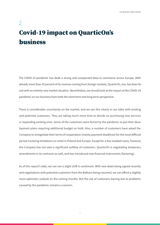## <span id="page-4-0"></span> $\overline{\mathcal{L}}$ Covid-19 impact on QuarticOn's business

The COVID-19 pandemic has dealt a strong and unexpected blow to commerce across Europe. With already more than 35 percent of its revenue coming from foreign markets, QuarticOn, too, has been faced with an entirely new market situation. Nevertheless, we should look at the impact of the COVID-19 pandemic on our business from both the short-term and long-term perspective.

There is considerable uncertainty on the market, and we see this clearly in our talks with existing and potential customers. They are taking much more time to decide on purchasing new services or expanding existing ones. Some of the customers were forced by the pandemic to put their development plans requiring additional budget on hold. Also, a number of customers have asked the Company to renegotiate their terms of cooperation (mainly payment deadlines) for the most difficult period involving limitations on retail in Poland and Europe. Except for a few isolated cases, however, the Company has not seen a significant outflow of customers. QuarticOn is negotiating temporary amendments in its contracts as well, and has introduced new financial instruments (factoring).

As of this report's date, we can see a slight shift in sentiment. With new deals being signed recently and negotiations with potential customers from the Balkans being resumed, we can afford a slightly more optimistic outlook on the coming months. But the risk of customers leaving due to problems caused by the pandemic remains a concern.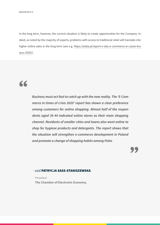In the long term, however, the current situation is likely to create opportunities for the Company. Indeed, as noted by the majority of experts, problems with access to traditional retail will translate into higher online sales in the long term (see e.g. [https://eizba.pl/raport-e-izby-e-commerce-w-czasie-kry](https://eizba.pl/raport-e-izby-e-commerce-w-czasie-kryzysu-2020/)[zysu-2020/](https://eizba.pl/raport-e-izby-e-commerce-w-czasie-kryzysu-2020/)).

# "

*Business must act fast to catch up with the new reality. The 'E-Commerce in times of crisis 2020' report has shown a clear preference among customers for online shopping. Almost half of the respondents aged 35-44 indicated online stores as their main shopping channel. Residents of smaller cities and towns also went online to shop for hygiene products and detergents. The report shows that the situation will strengthen e-commerce development in Poland and promote a change of shopping habits among Poles*

**"** 

#### – said PATRYCJA SASS-STANISZEWSKA

President **The Chamber of Electronic Economy.**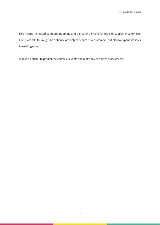This means increased competition online and a greater demand for tools to support e-commerce. For QuarticOn this might be a chance not only to secure new customers, but also to expand its sales to existing ones.

Still, it is difficult to predict the course of events and make any definitive assessments.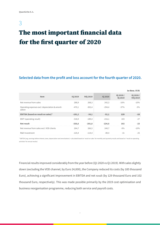<span id="page-7-0"></span>3

# The most important financial data for the first quarter of 2020

### **Selected data from the profit and loss account for the fourth quarter of 2020.**

|                                                           |                |                 |                |                             | in thou. EUR                 |
|-----------------------------------------------------------|----------------|-----------------|----------------|-----------------------------|------------------------------|
| <b>Item</b>                                               | <b>IQ 2019</b> | <b>IVO 2019</b> | <b>IQ 2020</b> | IQ 2020 /<br><b>IQ 2019</b> | IQ 2020 /<br><b>IVO 2019</b> |
| Net revenue from sales                                    | 288,9          | 268,3           | 242,3          | $-16%$                      | $-10%$                       |
| Operating expenses excl. depreciation & amorti-<br>zation | $-470,1$       | $-302,4$        | $-294.4$       | $-37%$                      | $-3%$                        |
| EBITDA (based on result on sales)*                        | $-181,2$       | $-34,1$         | $-52,1$        | 129                         | $-18$                        |
| EBIT (operating result)                                   | $-318,9$       | $-189,4$        | $-216,1$       | 103                         | $-27$                        |
| Net result                                                | $-326,6$       | $-201,8$        | $-224,5$       | 102                         | $-23$                        |
| Net revenue from sales excl. VOD clients                  | 264,7          | 266,5           | 240.7          | $-9\%$                      | $-10%$                       |
| R&D Investment                                            | $-120.4$       | $-114,4$        | $-89,4$        | $-31$                       | $-25$                        |

\* EBITDA [ang. earnings before interest, taxes, depreciation and amortization] = calculated based on 'result on sales' for monthly and quarterly results and based on "result on operating activities' for annual results/

Financial results improved considerably from the year before (Q1 2020 vs Q1 2019). With sales slightly down (excluding the VOD channel, by Euro 24,000), the Company reduced its costs (by 185 thousand Euro), achieving a significant improvement in EBITDA and net result (by 129 thousand Euro and 102 thousand Euro, respectively). This was made possible primarily by the 2019 cost optimisation and business reorganisation programme, reducing both service and payroll costs.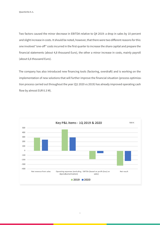Two factors caused the minor decrease in EBITDA relative to Q4 2019: a drop in sales by 10 percent and slight increase in costs. It should be noted, however, that there were two different reasons for this: one involved "one-off" costs incurred in the first quarter to increase the share capital and prepare the financial statements (about 4,8 thousand Euro), the other a minor increase in costs, mainly payroll (about 6,6 thousand Euro).

The company has also introduced new financing tools (factoring, overdraft) and is working on the implementation of new solutions that will further improve the financial situation (process optimization process carried out throughout the year (Q1 2020 vs 2019) has already improved operating cash flow by almost EUR 0.3 M).

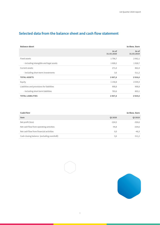### **Selected data from the balance sheet and cash flow statement**

| <b>Balance sheet</b>                       |                     | in thou. Euro       |
|--------------------------------------------|---------------------|---------------------|
|                                            | As of<br>31.03.2020 | As of<br>31.03.2019 |
| Fixed assets                               | 1796,7              | 2 0 6 2, 1          |
| - including intangible and legal assets    | 1608,2              | 1928,7              |
| Current assets                             | 271,0               | 862,4               |
| - including short-term investments         | 3,6                 | 511,2               |
| <b>TOTAL ASSETS</b>                        | 2067,6              | 2924,6              |
| Equity                                     | 1 1 5 8 , 8         | 2039,4              |
| Liabilities and provisions for liabilities | 908,8               | 908,8               |
| - including short term liabilities         | 783,6               | 803,1               |
| <b>TOTAL LIABILITIES</b>                   | 2067,6              | 2924,6              |

| <b>Cash Flow</b>                           |                |                |
|--------------------------------------------|----------------|----------------|
| <b>Item</b>                                | <b>QI 2020</b> | <b>QI 2019</b> |
| Net profit (loss)                          | $-224.5$       | $-326,6$       |
| Net cash flow from operating activities    | $-44.8$        | $-334,6$       |
| Net cash flow from financial activities    | 0,0            | $-46,3$        |
| Cash closing balance (excluding overdraft) | 3,6            | 511,2          |

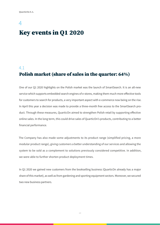## <span id="page-10-0"></span>4 Key events in Q1 2020

### 4.1 Polish market (share of sales in the quarter: 64%)

One of our Q1 2020 highlights on the Polish market was the launch of SmartSearch. It is an all-new service which supports embedded search engines of e-stores, making them much more effective tools for customers to search for products, a very important aspect with e-commerce now being on the rise. In April this year a decision was made to provide a three-month free access to the SmartSearch product. Through these measures, QuarticOn aimed to strengthen Polish retail by supporting effective online sales. In the long term, this could drive sales of QuarticOn's products, contributing to a better financial performance.

The Company has also made some adjustments to its product range (simplified pricing, a more modular product range), giving customers a better understanding of our services and allowing the system to be sold as a complement to solutions previously considered competitive. In addition, we were able to further shorten product deployment times.

In Q1 2020 we gained new customers from the bookselling business (QuarticOn already has a major share of this market), as well as from gardening and sporting equipment sectors. Moreover, we secured two new business partners.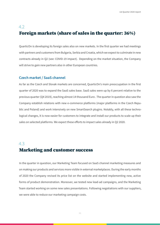### <span id="page-11-0"></span>4.2 Foreign markets (share of sales in the quarter: 36%)

QuarticOn is developing its foreign sales also on new markets. In the first quarter we had meetings with partners and customers from Bulgaria, Serbia and Croatia, which we expect to culminate in new contracts already in Q2 (see: COVID-19 impact). Depending on the market situation, the Company will strive to gain new partners also in other European countries.

#### **Czech market / SaaS channel**

As far as the Czech and Slovak markets are concerned, QuarticOn's main preoccupation in the first quarter of 2020 was to expand the SaaS sales base. SaaS sales were up by 6 percent relative to the previous quarter (Q4 2019), reaching almost 14 thousand Euro . The quarter in question also saw the Company establish relations with new e-commerce platforms (major platforms in the Czech Republic and Poland) and work intensively on new SmartSearch plugins. Notably, with all these technological changes, it is now easier for customers to integrate and install our products to scale up their sales on selected platforms. We expect these efforts to impact sales already in Q2 2020.

### 4.3 Marketing and customer success

In the quarter in question, our Marketing Team focused on SaaS channel marketing measures and on making our products and services more visible in external marketplaces. During the early months of 2020 the Company revised its price list on the website and started implementing new, active forms of product demonstration. Moreover, we tested new lead-ad campaigns, and the Marketing Team started working on some new sales presentations. Following negotiations with our suppliers, we were able to reduce our marketing campaign costs.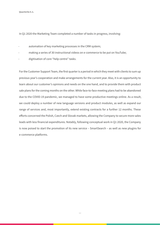QuarticOn S.A.

In Q1 2020 the Marketing Team completed a number of tasks in progress, involving:

- automation of key marketing processes in the CRM system;
- making a series of 30 instructional videos on e-commerce to be put on YouTube;
- digitisation of core "help centre" tasks.

For the Customer Support Team, the first quarter is a period in which they meet with clients to sum up previous year's cooperation and make arrangements for the current year. Also, it is an opportunity to learn about our customer's opinions and needs on the one hand, and to provide them with product sale plans for the coming months on the other. While face-to-face meeting plans had to be abandoned due to the COVID-19 pandemic, we managed to have some productive meetings online. As a result, we could deploy a number of new language versions and product modules, as well as expand our range of services and, most importantly, extend existing contracts for a further 12 months. These efforts concerned the Polish, Czech and Slovak markets, allowing the Company to secure more sales leads with less financial expenditures. Notably, following conceptual work in Q1 2020, the Company is now poised to start the promotion of its new service – SmartSearch – as well as new plugins for e-commerce platforms.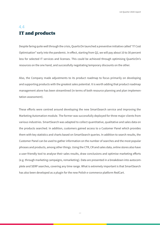### <span id="page-13-0"></span>4.4 IT and products

Despite faring quite well through the crisis, QuarticOn launched a preventive initiative called "IT Cost Optimisation" early into the pandemic. In effect, starting from Q2, we will pay about 10 to 30 percent less for selected IT services and licenses. This could be achieved through optimising QuarticOn's resources on the one hand, and successfully negotiating temporary discounts on the other.

Also, the Company made adjustments to its product roadmap to focus primarily on developing and supporting products with the greatest sales potential. It is worth adding that product roadmap management alone has been streamlined (in terms of both resource planning and plan implementation assessment).

These efforts were centred around developing the new SmartSearch service and improving the Marketing Automation module. The former was successfully deployed for three major clients from various industries. SmartSearch was adapted to collect quantitative, qualitative and sales data on the products searched. In addition, customers gained access to a Customer Panel which provides them with key statistics and charts based on SmartSearch queries. In addition to search results, the Customer Panel can be used to gather information on the number of searches and the most popular phrases and products, among other things. Using the CTR, CR and sales data, online stores also have a user-friendly tool to analyse their sales results, draw conclusions and optimise marketing efforts (e.g. through marketing campaigns, remarketing). Data are presented in a breakdown into autocomplete and SERP searches, covering any time range. What is extremely important is that SmartSearch has also been developed as a plugin for the new Polish e-commerce platform RedCart.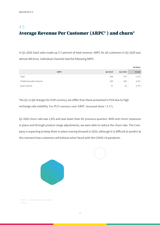## <span id="page-14-0"></span>4.5 Average Revenue Per Customer (ARPC<sup>1</sup> ) and churn<sup>2</sup>

In Q1 2020 SaaS sales made up 5.7 percent of total revenue. ARPC for all customers in Q1 2020 was almost 400 Euro. Individual channels had the following ARPC:

|                           |                        |         | in Euro |
|---------------------------|------------------------|---------|---------|
|                           | <b>ARPC</b><br>Q4 2019 | Q1 2020 | trend   |
| Total                     | 404                    | 397     | $-1,6%$ |
| Traditional sales channel | 594                    | 569     | $-4,2%$ |
| SaaS channel              | 57                     | 62      | 9,7%    |

The Q1 vs Q4 changes for EUR currency are differ than these presented in PLN due to high exchange rate volatility. For PLN currency total ARPC increased about +5,1%.

Q1 2020 churn rate was 1,6% and was lower than for previous quarters. With anti-churn measures in place and through product range adjustments, we were able to reduce the churn rate. The Company is expecting to keep them in place moving forward in 2020, although it is difficult to predict at this moment how customers will behave when faced with the COVID-19 pandemic.





 1 ARPC – average revenue per client 2 Churn –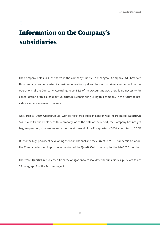# <span id="page-15-0"></span>5 Information on the Company's subsidiaries

The Company holds 50% of shares in the company QuarticOn (Shanghai) Company Ltd., however, this company has not started its business operations yet and has had no significant impact on the operations of the Company. According to art 58.1 of the Accounting Act, there is no necessity for consolidation of this subsidiary. QuarticOn is considering using this company in the future to provide its services on Asian markets.

On March 19, 2019, QuarticOn Ltd. with its registered office in London was incorporated. QuarticOn S.A. is a 100% shareholder of this company. As at the date of the report, the Company has not yet begun operating, so revenues and expenses at the end of the first quarter of 2020 amounted to 0 GBP.

Due to the high priority of developing the SaaS channel and the current COVID19 pandemic situation, The Company decided to postpone the start of the QuarticOn Ltd. activity for the late 2020 months.

Therefore, QuarticOn is released from the obligation to consolidate the subsidiaries, pursuant to art. 58 paragraph 1 of the Accounting Act.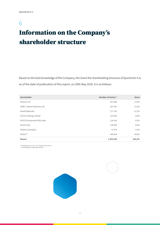## <span id="page-16-0"></span>6

# Information on the Company's shareholder structure

Based on the best knowledge of the Company, the share the shareholding structure of QuarticOn S.A. as of the date of publication of this report, on 29th May 2020, it is as follows:

| shareholder                      | Number of stocks <sup>*</sup> | share  |
|----------------------------------|-------------------------------|--------|
| Venture FIZ                      | 251 000                       | 17,9%  |
| CBNC Capital Solutions Ltd.      | 187031                        | 13,3%  |
| Paweł Wyborski                   | 171761                        | 12,2%  |
| Q Free Trading Limited           | 123 500                       | 8,8%   |
| <b>ACATIS Investment KVG mbH</b> | 134 100                       | 9,5%   |
| Kamil Cisło                      | 118500                        | 8,4%   |
| Paulina Zamojska                 | 72574                         | 5,2%   |
| Others**                         | 345 834                       | 24,6%  |
| Razem                            | 1404300                       | 100,0% |

\* including class A, B, C, D, E and F share series \*\* including key employees (ESOP)

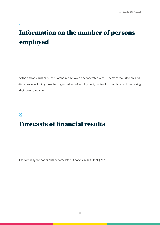# <span id="page-17-0"></span>7 Information on the number of persons employed

At the end of March 2020, the Company employed or cooperated with 31 persons (counted on a full- -time basis) including those having a contract of employment, contract of mandate or those having their own companies.

### 8

## Forecasts of financial results

The company did not published forecasts of financial results for IQ 2020.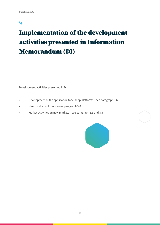### 9

# Implementation of the development activities presented in Information Memorandum (DI)

Development activities presented in DI:

- Development of the application for e-shop platforms see paragraph 3.6
- New product solutions see paragraph 3.6
- Market activities on new markets see paragraph 3.3 and 3.4

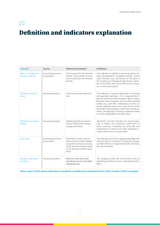# <span id="page-19-0"></span>10 Definition and indicators explanation

| <b>Indicator</b>                         | <b>Source</b>                        | <b>Method of calculation</b>                                                                                                                                          | <b>Usefulness</b>                                                                                                                                                                                                                                                                                                                                                                                                                                                           |
|------------------------------------------|--------------------------------------|-----------------------------------------------------------------------------------------------------------------------------------------------------------------------|-----------------------------------------------------------------------------------------------------------------------------------------------------------------------------------------------------------------------------------------------------------------------------------------------------------------------------------------------------------------------------------------------------------------------------------------------------------------------------|
| ARPC - average reve-<br>nue per customer | Accounting and invo-<br>icing system | Total revenue (for the relevant<br>period) / the number of custo-<br>mers invoiced (in the relevant<br>period)                                                        | This indicator is helpful in assessing options for<br>sales development, including through various<br>sales channels (e.g. sometimes an increase in<br>the number of customers brings about a decre-<br>ase in the ARPU, with the overall revenue, howe-<br>ver, continuing to grow)                                                                                                                                                                                        |
| <b>EBITDA</b> (as profit on<br>sales)    | Accounting system                    | Profit on sales plus deprecia-<br>tion                                                                                                                                | This indicator is used by QuarticOn for monthly<br>and quarterly reporting - it is an approximate fi-<br>gure for profit from the Company's direct current<br>business, which excludes any one-off accounting<br>events (e.g. write-offs, revaluations of some re-<br>serves, typically made once a year at the end of<br>December and covering an entire year, or past pe-<br>riods). Consequently, monthly or quarterly results<br>are more comparable in the short term. |
| <b>EBITDA</b> (as operating<br>profit)   | Accounting system                    | Operating profit plus depre-<br>ciation (reduced by interest<br>charges and taxes)                                                                                    | QuarticOn uses this indicator for annual repor-<br>ting. It reflects the Company's profit from its<br>direct business, including any write-offs and<br>revaluations of reserves for other operating re-<br>venues and costs over a given year.                                                                                                                                                                                                                              |
| Churn rate                               | Accounting and invo-<br>icing system | Total latest-month revenue<br>from customers who stopped<br>using the Company's services<br>in the previous month relative<br>to the previous month's total<br>sales. | This indicator provides an approximate figure for<br>sales lost due to customers' leaving the Compa-<br>ny. While there is no single benchmark, the lower<br>the rate, the better.                                                                                                                                                                                                                                                                                          |
| <b>Result on operating</b><br>activities | Accounting system                    | Result on sales plus other<br>operating revenues less other<br>operating costs                                                                                        | The company unifies the terms used: result on<br>operating activities (in short: operating result or<br>EBIT).                                                                                                                                                                                                                                                                                                                                                              |

### **Note: none of the above indicators should be considered in isolation from other results of the Company**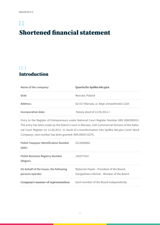# <span id="page-20-0"></span>11 Shortened financial statement

## 11.1 Introduction

| Name of the company: | QuarticOn Spółka Akcyjna                    |
|----------------------|---------------------------------------------|
| Seat:                | Warsaw, Poland                              |
| Address:             | 02-017 Warsaw, ul. Aleje Jerozolimskie 123A |
| Incorporation date:  | Notary deed of 13.05.2011 r.                |

Entry to the Register of Entrepreneurs under National Court Register Number KRS 0000389015. The entry has been made by the District Court in Warsaw, 12th Commercial Division of the National Court Register on 11.06.2011. In result of a transformation into Spółka Akcyjna (Joint Stock Company), new number has been granted: KRS 0000715276.

| <b>Polish Taxpayer Identification Number</b><br>$(NIP)$ :  | 5213608082                                                                             |
|------------------------------------------------------------|----------------------------------------------------------------------------------------|
| <b>Polish Business Registry Number</b><br>(Regon):         | 142977414                                                                              |
| On behalf of the Issuer, the following<br>persons operate: | Wyborski Paweł – President of the Board,<br>Giergielewicz Michał – Member of the Board |
| Company's manner of representation:                        | Each member of the Board independently                                                 |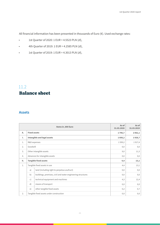<span id="page-21-0"></span>All financial information has been presented in thousands of Euro (€). Used exchange rates:

- 1st Quarter of 2020: 1 EUR = 4.5523 PLN (zł),
- $\cdot$  4th Quarter of 2019: 1 EUR = 4.2585 PLN (zł),
- 1st Quarter of 2019: 1 EUR = 4.3013 PLN (zł),

### 11.2 Balance sheet

### **Assets**

|     |                                | Items in ,000 Euro                                          | As of<br>31.03.2020 | As of<br>31.03.2019 |
|-----|--------------------------------|-------------------------------------------------------------|---------------------|---------------------|
| Α.  | <b>Fixed assets</b>            |                                                             | 1796,7              | 2 0 6 2, 1          |
| Ι.  |                                | Intangible and legal assets                                 | 1608,2              | 1928,7              |
| 1.  |                                | R&D expenses                                                | 1599,2              | 1917,4              |
| 2.  | Goodwill                       |                                                             | 0,0                 | 0,0                 |
| 3.  |                                | Other intangible assets                                     | 9,0                 | 11,3                |
| 4.  | Advances for intangible assets |                                                             | 0,0                 | 0,0                 |
| II. | <b>Tangible fixed assets</b>   |                                                             | 4,4                 | 13,1                |
| 1.  |                                | Tangible fixed assets in use                                | 4,4                 | 13,1                |
|     | a)                             | land (including right to perpetua usufruct)                 | 0,0                 | 0,0                 |
|     | b)                             | buildings, premises, civil and water engineering structures | 0,0                 | 0,0                 |
|     | $\mathsf{C}$ )                 | technical equipment and machines                            | 4,3                 | 12,4                |
|     | d)                             | means of transport                                          | 0,0                 | 0,0                 |
|     | e)                             | other tangible fixed assets                                 | 0,2                 | 0,7                 |
| 2.  |                                | Tangible fixed assets under construction                    | 0,0                 | 0,0                 |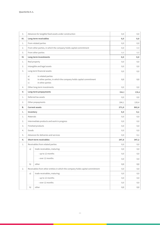| 3.  |                | Advances for tangible fixed assets under construction                                                     | 0,0   | 0,0   |
|-----|----------------|-----------------------------------------------------------------------------------------------------------|-------|-------|
| Ш.  |                | Long-term receivables                                                                                     | 0,0   | 0,0   |
| 1.  |                | From related parties                                                                                      | 0,0   | 0,0   |
| 2.  |                | From other parties, in which the company holds capital commitment                                         | 0,0   | 0,0   |
| 3.  |                | From other parties                                                                                        | 0,0   | 0,0   |
| IV. |                | <b>Long-term investments</b>                                                                              | 0,0   | 0,0   |
| 1.  |                | Real property                                                                                             | 0,0   | 0,0   |
| 2.  |                | Intangible and legal assets                                                                               | 0,0   | 0,0   |
| 3.  |                | Long-term financial assets:                                                                               | 0,0   | 0,0   |
|     | a)<br>b)<br>c) | in related parties<br>in other parties, in which the company holds capital commitment<br>in other parties | 0,0   | 0,0   |
| 4.  |                | Other long-term investments                                                                               | 0,0   | 0,0   |
| V.  |                | <b>Long-term prepayments</b>                                                                              | 184,1 | 120,4 |
| 1.  |                | Deferred tax assets                                                                                       | 0,0   | 0,0   |
| 2.  |                | Other prepayments                                                                                         | 184,1 | 120,4 |
| в.  |                | <b>Current assets</b>                                                                                     | 271,0 | 862,4 |
| Ι.  | Inventory      |                                                                                                           | 0,0   | 0,1   |
| 1.  | Materials      |                                                                                                           | 0,0   | 0,0   |
| 2.  |                | Intermediate products and work in progress                                                                | 0,0   | 0,0   |
| 3.  |                | Finished products                                                                                         | 0,0   | 0,0   |
| 4.  | Goods          |                                                                                                           |       |       |
| 5.  |                |                                                                                                           | 0,0   | 0,0   |
|     |                | Advances for deliveries and services                                                                      | 0,0   | 0,1   |
| Π.  |                | <b>Short-term receivables</b>                                                                             | 247,8 | 347,2 |
| 1.  |                | Receivables from related parties                                                                          | 0,0   | 0,0   |
|     | a)             | trade receivables, maturing:                                                                              | 0,0   | 0,0   |
|     |                | - up to 12 months                                                                                         | 0,0   | 0,0   |
|     |                | - over 12 months                                                                                          | 0,0   | 0,0   |
|     | b)             | other                                                                                                     | 0,0   | 0,0   |
| 2.  |                | Receivables from other entities in which the company holds capital commitment                             | 0,0   | 0,0   |
|     | a)             | trade receivables, maturing:                                                                              | 0,0   | 0,0   |
|     |                | - up to 12 months                                                                                         | 0,0   | 0,0   |
|     |                | - over 12 months                                                                                          | 0,0   | 0,0   |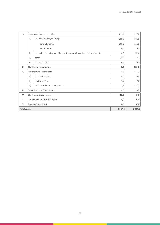| 3.   | Receivables from other entities  |                                                                              | 247,8 | 347,2  |
|------|----------------------------------|------------------------------------------------------------------------------|-------|--------|
|      | a)                               | trade receivables, maturing:                                                 | 209,0 | 241,5  |
|      |                                  | - up to 12 months                                                            | 209,0 | 241,5  |
|      |                                  | - over 12 months                                                             | 0,0   | 0,0    |
|      | b)                               | receivables from tax, subsidies, customs, social security and other benefits | 6,6   | 72,4   |
|      | $\mathsf{C}$                     | other                                                                        | 32,2  | 33,3   |
|      | d)                               | claimed at court                                                             | 0,0   | 0,0    |
| III. |                                  | <b>Short-term investments</b>                                                | 3,6   | 511,2  |
| 1.   |                                  | Short-term financial assets                                                  | 3,6   | 511,2  |
|      | a)                               | in related parties                                                           | 0,0   | 0,0    |
|      | b)                               | in other parties                                                             | 0,0   | 0,0    |
|      | $\mathsf{C}$ )                   | cash and other pecuniary assets                                              | 3,6   | 511,2  |
| 2.   |                                  | Other short-term investments                                                 | 0,0   | 0,0    |
| IV.  |                                  | <b>Short-term prepayments</b>                                                | 19,5  | 3,9    |
| c.   | Called up share capital not paid |                                                                              | 0,0   | 0,0    |
| D.   | Own shares (stocks)              |                                                                              |       | 0,0    |
|      | <b>Total Assets</b>              |                                                                              |       | 2924,6 |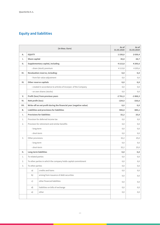### **Equity and liabilities**

|           |                              | (in thou. Euro)                                                    | As of<br>31.03.2020 | As of<br>31.03.2019 |
|-----------|------------------------------|--------------------------------------------------------------------|---------------------|---------------------|
| А.        | <b>EQUITY</b>                |                                                                    | 1158,8              | 2039,4              |
| Τ.        | <b>Share capital</b>         |                                                                    | 30,8                | 28,7                |
| н.        |                              | Supplementary capital, including                                   | 4 1 1 3 , 8         | 4 2 0 5, 6          |
|           |                              | - share (stock) premium                                            | 4 1 1 3 , 8         | 4 2 0 5, 6          |
| III.      |                              | Revaluation reserve, including:                                    | 0,0                 | 0,0                 |
|           |                              | - from fair value adjustment                                       | 0,0                 | 0,0                 |
| IV.       |                              | <b>Other reserve capitals</b>                                      | 0,0                 | 0,0                 |
|           |                              | - created in accordance to articles of incorpor. of the Company    | 0,0                 | 0,0                 |
|           |                              | - on own shares (stocks)                                           | 0,0                 | 0,0                 |
| V.        |                              | Profit (loss) from previous years                                  | $-2761,3$           | $-1868,3$           |
| VI.       | Nett profit (loss)           |                                                                    | $-224,5$            | $-326,6$            |
| VII.      |                              | Write-off on net profit during the financial year (negative value) | 0,0                 | 0, 0                |
| <b>B.</b> |                              | <b>Liabilities and provisions for liabilities</b>                  | 908,8               | 885,1               |
| Ι.        |                              | <b>Provisions for liabilities</b>                                  | 32,2                | 25,0                |
| 1.        |                              | Provision for deferred income tax                                  | 0,0                 | 0,0                 |
| 2.        |                              | Provision for retirement and similar benefits                      | 0,0                 | 0,0                 |
|           | - long-term                  |                                                                    | 0,0                 | 0,0                 |
|           | - short-term                 |                                                                    | 0,0                 | 0,0                 |
| 3.        | Other provisions             |                                                                    | 32,2                | 25,0                |
|           | - long-term                  |                                                                    | 0,0                 | 0,0                 |
|           | - short-term                 |                                                                    | 32,2                | 25,0                |
| н.        | <b>Long-term liabilities</b> |                                                                    | 0,0                 | 0,0                 |
| 1.        | To related parties           |                                                                    | 0,0                 | 0,0                 |
| 2.        |                              | To other parties in which the company holds capital commitment     | 0,0                 | 0,0                 |
| 3.        | To other parties             |                                                                    | 0,0                 | 0,0                 |
|           | a)                           | credits and loans                                                  | 0,0                 | 0,0                 |
|           | b)                           | arising from issuance of debt securities                           | 0,0                 | 0,0                 |
|           | c)                           | other financial liabilities                                        | 0,0                 | 0,0                 |
|           | d)                           | liabilities on bills of exchange                                   | 0,0                 | 0,0                 |
|           | e)                           | other                                                              | 0,0                 | 0,0                 |
|           |                              |                                                                    |                     |                     |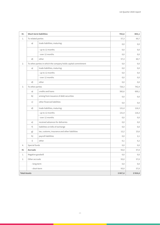| Ш.                  |                   | <b>Short-term liabilities</b>                                  | 783,6    | 803,1    |
|---------------------|-------------------|----------------------------------------------------------------|----------|----------|
| 1.                  |                   | To related parties                                             |          | 60,7     |
|                     | a)                | trade liabilities, maturing:                                   | 0,0      | 0,0      |
|                     |                   | - up to 12 months                                              | 0,0      | 0,0      |
|                     |                   | - over 12 months                                               | 0,0      | 0,0      |
|                     | d)                | other                                                          | 57,3     | 60,7     |
| 2.                  |                   | To other parties in which the company holds capital commitment | 0,0      | 0,0      |
|                     | a)                | trade liabilities, maturing:                                   | 0,0      | 0,0      |
|                     |                   | - up to 12 months                                              | 0,0      | 0,0      |
|                     |                   | - over 12 months                                               | 0,0      | 0,0      |
|                     | d)                | other                                                          | 0,0      | 0,0      |
| 3.                  | To other parties  |                                                                | 726,3    | 742,4    |
|                     | a)                | credits and loans                                              | 582,6    | 600,1    |
|                     | b)                | arising from issuance of debt securities                       | 0,0      | 0,0      |
|                     | c)                | other financial liabilities                                    | 0,0      | 0,0      |
|                     | d)                | trade liabilities, maturing:                                   | 131,4    | 116,3    |
|                     |                   | - up to 12 months                                              | 131,4    | 116,3    |
|                     |                   | - over 12 months                                               | 0,0      | 0,0      |
|                     | e)                | received advances for deliveries                               | 0,0      | 0,0      |
|                     | f)                | liabilities on bills of exchange                               | 0,0      | 0,0      |
|                     | g)                | tax, customs, insurance and other liabilities                  | 12,2     | 23,6     |
|                     | h)                | payroll liabilities                                            | 0,0      | 2,1      |
|                     | i)                | other                                                          | 0,1      | 0,2      |
| 4.                  | Special funds     |                                                                | 0,0      | 0,0      |
| IV.                 | <b>Accruals</b>   |                                                                | 93,0     | 57,0     |
| 1.                  | Negative goodwill |                                                                | 0,0      | $_{0,0}$ |
| 2.                  | Other accruals    |                                                                | 93,0     | 57,0     |
|                     | - long-term       |                                                                | $_{0,0}$ | 0,0      |
|                     | - short-term      |                                                                | 93,0     | 57,0     |
| <b>Total Assets</b> |                   |                                                                | 2067,6   | 2924,6   |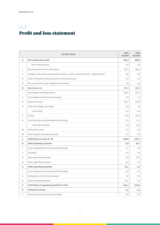## <span id="page-26-0"></span>11.3 Profit and loss statement

| (in thou. Euro)     |                                                                                          |          | Only<br><b>IQ 2019</b> |
|---------------------|------------------------------------------------------------------------------------------|----------|------------------------|
| А.                  | <b>Net revenue from sales</b>                                                            | 242,3    | 288,9                  |
|                     | from related parties                                                                     | 0,0      | 0,0                    |
| $\mathsf{L}$        | Net revenue from sales of products                                                       | 242,3    | 288,9                  |
| $\mathbb{I}$ .      | Change in the balance of products (increase - positive value, decrease - negative value) | 0,0      | 0,0                    |
| III.                | Costs of manufacturing products for internal purposes                                    | 0,0      | 0,0                    |
| IV.                 | Net revenue from sales of goods and materials                                            | 0,0      | 0,0                    |
| В.                  | <b>Operating costs</b>                                                                   | 441,2    | 626,2                  |
| Ι.                  | Amortisation and depreciation                                                            | 146,8    | 156,1                  |
| $\mathbf{II}$ .     | Consumption of materials and energy                                                      | 2,9      | 7,1                    |
| Ш.                  | <b>External services</b>                                                                 | 185,7    | 278,0                  |
| IV.                 | Taxes and charges, including:                                                            | 2,6      | 4,6                    |
|                     | - excise duty                                                                            | 0,0      | 0,0                    |
| V.                  | Payroll                                                                                  | 87,8     | 153,9                  |
| VI.                 | Social security and other benefits, including:                                           | 9,7      | 17,1                   |
|                     | - retirement benefits                                                                    | 6,9      | 11,9                   |
| VII.                | Other prime costs                                                                        | 5,7      | 9,4                    |
| VIII.               | Value of goods and materials sold                                                        | 0,0      | 0,0                    |
| C.                  | Profit (loss) on sales (A - B)                                                           | $-198,9$ | $-337,3$               |
| D.                  | <b>Other operating revenues</b>                                                          | 0,9      | 20,7                   |
| Ι.                  | Gain on disposal of non-financial fixed assets                                           | 0,1      | 0,0                    |
| $\mathbb{I}$ .      | Subsidies                                                                                | 0,0      | 0,0                    |
| III.                | Other operating revenues                                                                 | 0,0      | 18,3                   |
| IV.                 | Other operating revenues                                                                 | 0,8      | 2,4                    |
| Е.                  | <b>Other operating expenses</b>                                                          | 18,1     | 2,3                    |
| $\mathsf{L}$        | Loss on disposal of non-financial fixed assets                                           | 0,0      | 0,0                    |
| Ш.                  | Revaluation of non-financial assets                                                      | 0,0      | 0,0                    |
| $\vert\vert\vert$ . | Other operating expenses                                                                 | 18,1     | 2,3                    |
| F.                  | Profit (loss) on operating activities (C+D-E)                                            | $-216,1$ | $-318,9$               |
| G.                  | <b>Financial revenues</b>                                                                | 2,1      | 3,2                    |
| Ι.                  | Dividend and profit sharing, including:                                                  | 0,0      | 0,0                    |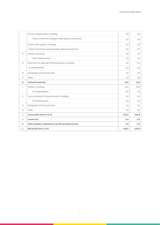|                | a) from related parties, including:                      | 0,0      | 0,0      |
|----------------|----------------------------------------------------------|----------|----------|
|                | - those in which the company holds capital commitment    | 0,0      | 0,0      |
|                | b) from other parties, including:                        | 0,0      | 0,0      |
|                | - those in which the company holds capital commitment    | 0,0      | 0,0      |
| $\mathbb{I}$ . | Interest, including:                                     | 0,0      | 2,4      |
|                | - from related parties                                   | 0,0      | 0,0      |
| III.           | Revenue from disposal of financial assets, including:    | 0,0      | 0,0      |
|                | - in related parties                                     | 0,0      | 0,0      |
| IV.            | Revaluation of financial assets                          | 0,0      | 0,0      |
| V.             | Other                                                    | 2,0      | 0,8      |
|                |                                                          |          |          |
| н.             | <b>Financial expenses</b>                                | 10,5     | 10,8     |
| Ι.             | Interest, including:                                     | 10,5     | 10,8     |
|                | - for related parties                                    | 0,0      | 0,0      |
| $\mathbb{I}$ . | Loss on disposal of financial assets, including:         | 0,0      | 0,0      |
|                | - for related parties                                    | 0,0      | 0,0      |
| III.           | Revaluation of financial assets                          | 0,0      | 0,0      |
| IV.            | Other                                                    | 0,0      | 0,0      |
| Τ.             | Gross profit (loss) (F+G-H)                              | $-224,5$ | $-326,6$ |
| J.             | Income tax                                               | 0,0      | 0, 0     |
| K.             | Other statutory reductions in profit (increases in loss) | 0,0      | 0, 0     |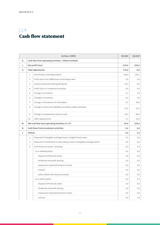### <span id="page-28-0"></span>11.4 Cash flow statement

|      |                   | (in thou. EURO)                                                             | <b>IQ 2020</b> | IQ 2019  |
|------|-------------------|-----------------------------------------------------------------------------|----------------|----------|
| А.   |                   | Cash flow from operating activities - indirect method                       |                |          |
| Ι.   | Net profit (loss) |                                                                             | $-224,5$       | $-326,6$ |
| II.  |                   | <b>Total adjustments</b>                                                    |                | $-8,0$   |
|      | 1.                | Amortisation and depreciation                                               | 146,8          | 156,1    |
|      | 2.                | Profit (loss) from differences of exchange rates                            | 0,0            | 0,0      |
|      | 3.                | Interest and profit sharing (dividend)                                      | 10,2           | 8,4      |
|      | 4.                | Profit (loss) on investment activities                                      | 0,0            | 0,0      |
|      | 5.                | Change in provisions                                                        | $-1,1$         | 3,9      |
|      | 6.                | Changes in inventory                                                        | 0,0            | 4,5      |
|      | 7.                | Change in the balance of receivables                                        | $-3,7$         | $-43,0$  |
|      | 8.                | Change in short-term liabilities excluding credits and loans                | 54,5           | $-31,0$  |
|      | 9.                | Change in prepayments and accruals                                          | $-19,3$        | $-90,4$  |
|      | 10.               | Other adjustments                                                           | $-7,7$         | $-16,5$  |
| III. |                   | Net cash flow from operating activities (I+/-II)                            | $-44,8$        | $-334,6$ |
| В.   |                   | <b>Cash flows from investment activities</b>                                | 0, 0           | 0, 0     |
| Ι.   | <b>Inflows</b>    |                                                                             | 0, 0           | 2,4      |
|      | 1.                | Disposal of intangible and legal assets, tangible fixed assets              | 0,0            | 0,0      |
|      | 2.                | Disposal of investments in real property and in intangible and legal assets | 0,0            | 0,0      |
|      | 3.                | From financial assets, including:                                           | 0,0            | 2,4      |
|      |                   | a) in related parties                                                       | 0,0            | 0,0      |
|      |                   | - disposal of financial assets                                              | 0,0            | 0,0      |
|      |                   | - dividends and profit sharing                                              | 0,0            | 0,0      |
|      |                   | - repayment of granted long-term loans                                      | 0,0            | 0,0      |
|      |                   | - interest                                                                  | 0,0            | 0,0      |
|      |                   | - other inflows from financial assets                                       | 0,0            | 0,0      |
|      |                   | b) in other parties                                                         | 0,0            | 2,4      |
|      |                   | - disposal of financial assets                                              | 0,0            | 0,0      |
|      |                   | - dividends and profit sharing                                              | 0,0            | 0,0      |
|      |                   | - repayment of granted long-term loans                                      | 0,0            | 0,0      |
|      |                   | - interest                                                                  | $_{0,0}$       | 2,4      |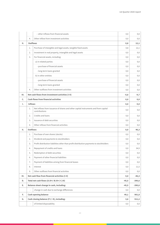|    |                 | - other inflows from financial assets                                                               | 0,0     | 0,0      |
|----|-----------------|-----------------------------------------------------------------------------------------------------|---------|----------|
|    | 4.              | Other inflow from investment activities                                                             | 0,0     | 0,0      |
| н. | <b>Outflows</b> |                                                                                                     | 0,8     | 12,1     |
|    | 1.              | Purchase of intangible and legal assets, tangible fixed assets                                      | 0,8     | 12,1     |
|    | 2.              | Investment in real property, intangible and legal assets                                            | 0,0     | 0,0      |
|    | 3.              | For financial assets, including:                                                                    | 0,0     | 0,0      |
|    |                 | a) in related parties                                                                               | 0,0     | 0,0      |
|    |                 | - purchase of financial assets                                                                      | 0,0     | 0,0      |
|    |                 | - long-term loans granted                                                                           | 0,0     | 0,0      |
|    |                 | b) in other entities                                                                                | 0,0     | 0,0      |
|    |                 | - purchase of financial assets                                                                      | 0,0     | 0,0      |
|    |                 | - long-term loans granted                                                                           | 0,0     | 0,0      |
|    | 4.              | Other outflows from investment activities                                                           | 0,0     | 0,0      |
| Ш. |                 | Net cash flows from investment activities (I-II)                                                    | $-0,8$  | $-9,7$   |
| c. |                 | <b>Cash flows from financial activities</b>                                                         | 0, 0    | 0,0      |
| Ι. | <b>Inflows</b>  |                                                                                                     | 0,0     | 0,0      |
|    | 1.              | Net inflows from issuance of shares and other capital instruments and from capital<br>contributions | 0,0     | 0,0      |
|    | 2.              | Credits and loans                                                                                   | 0,0     | 0,0      |
|    | 3.              | Issuance of debt securities                                                                         | 0,0     | 0,0      |
|    | 4.              | Other inflows from financial activities                                                             | 0,0     | 0,0      |
| н. | <b>Outflows</b> |                                                                                                     | 0,0     | 46,3     |
|    | 1.              | Purchase of own shares (stocks)                                                                     | 0,0     | 0,0      |
|    | 2.              | Dividend and payments to stockholders                                                               | 0,0     | 0,0      |
|    | 3.              | Profit distribution liabilities other than profit distribution payments to stockholders             | 0,0     | 0,0      |
|    | 4.              | Repayment of credits and loans                                                                      | 0,0     | 34,9     |
|    | 5.              | Redemption of debt securities                                                                       | 0,0     | 0,0      |
|    | 6.              | Payment of other financial liabilities                                                              | 0,0     | 0,0      |
|    | 7.              | Payment of liabilities arising from financial leases                                                | 0,0     | 0,0      |
|    | 8.              | Interest                                                                                            | 0,0     | 11,5     |
|    | 9.              | Other outflows from financial activities                                                            | 0,0     | 0,0      |
| Ш. |                 | Net cash flow from financial activities (I-II)                                                      | 0,0     | $-46,3$  |
| D. |                 | Total net cash flows (A.III+/-B.III+/-C.III)                                                        | $-45,5$ | $-390,6$ |
| Е. |                 | Balance sheet change in cash, including:                                                            | $-45,5$ | $-390,6$ |
|    | ä,              | change in cash due to exchange differences                                                          | 0,0     | 0,0      |
| F. |                 | <b>Cash opening balance</b>                                                                         | 49,1    | 901,8    |
| G. |                 | Cash closing balance (F+/-D), including:                                                            | 3,6     | 511,2    |
|    | $\frac{1}{2}$   | of limited disposability                                                                            | 0,0     | $_{0,0}$ |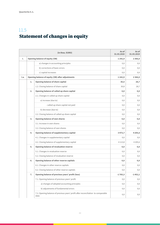## <span id="page-30-0"></span>11.5 Statement of changes in equity

|      |    | (in thou. EURO)                                                                           | As of<br>31.03.2020 | As of<br>31.03.2019 |
|------|----|-------------------------------------------------------------------------------------------|---------------------|---------------------|
| Ι.   |    | <b>Opening balance of equity (OB)</b>                                                     | 1242,9              | 2 3 6 6 , 0         |
|      |    | a) changes in accounting principles                                                       | 0,0                 | 0,0                 |
|      |    | b) corrections of basic errors                                                            | 0,0                 | 0,0                 |
|      |    | c) capital increases                                                                      | 0,0                 | 0,0                 |
| I.a. |    | Opening balance of equity (OB) after adjustments                                          | 1242,9              | 2 3 6 6 , 0         |
|      | 1. | <b>Opening balance of share capital</b>                                                   | 30,5                | 28,7                |
|      |    | 1.2. Closing balance of share capital                                                     | 30,8                | 28,7                |
|      | 2. | Opening balance of called up share capital                                                | 0, 0                | 0,0                 |
|      |    | 2.1. Changes in called up share capital                                                   | 0,0                 | 0,0                 |
|      |    | a) increase (due to)                                                                      | 0,0                 | 0,0                 |
|      |    | - called up share capital not paid                                                        | 0,0                 | 0,0                 |
|      |    | b) decrease (due to)                                                                      | 0,0                 | 0,0                 |
|      |    | 2.2. Closing balance of called up share capital                                           | 0,0                 | 0,0                 |
|      | 3. | <b>Opening balance of own shares</b>                                                      | 0,0                 | 0,0                 |
|      |    | 3.1. Increase in own shares                                                               | 0,0                 | 0,0                 |
|      |    | 3.2. Closing balance of own shares                                                        | 0, 0                | 0,0                 |
|      | 4. | Opening balance of supplementary capital                                                  | 3973,7              | 4205,6              |
|      |    | 4.1. Changes in supplementary capital                                                     | 0,0                 | 0,0                 |
|      |    | 4.2. Closing balance of supplementary capital                                             | 4 1 1 3 , 8         | 4 2 0 5, 6          |
|      | 5. | <b>Opening balance of revaluation reserve</b>                                             | 0,0                 | 0,0                 |
|      |    | 5.1. Changes in revaluation reserve                                                       | 0,0                 | 0,0                 |
|      |    | 5.2. Closing balance of revaluation reserve                                               | 0,0                 | 0,0                 |
|      | 6. | Opening balance of other reserve capitals                                                 | 0,0                 | 0,0                 |
|      |    | 6.1. Changes in other reserve capitals                                                    | 0,0                 | 0,0                 |
|      |    | 6.2. Closing balance of other reserve capitals                                            | 0,0                 | 0,0                 |
|      | 7. | Opening balance of previous years' profit (loss)                                          | $-1765,3$           | $-1452,1$           |
|      |    | 7.1. Opening balance of previous years' profit                                            | 0,0                 | 0,0                 |
|      |    | a) changes of adopted accounting principles                                               | 0,0                 | 0,0                 |
|      |    | b) adjustments of fundamental errors                                                      | 0,0                 | 0,0                 |
|      |    | 7.2. Opening balance of previous years' profit after reconciliation to comparable<br>data | 0,0                 | 0,0                 |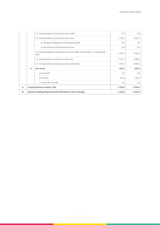|      |    | 7.3. Closing balance of previous years' profit                                          | 0,0       | 0,0         |
|------|----|-----------------------------------------------------------------------------------------|-----------|-------------|
|      |    | 7.4. Opening balance of previous years' loss                                            | $-1765,3$ | $-1452,1$   |
|      |    | a) changes of adopted accounting principles                                             | 0,0       | 0,0         |
|      |    | b) adjustments of fundamental errors                                                    | 0,0       | 0,0         |
|      |    | 7.5. Opening balance of previous years' loss after reconciliation to comparable<br>data | $-1765,3$ | $-1452,1$   |
|      |    | 7.6. Closing balance of previous years' loss                                            | $-2761,3$ | $-1868,3$   |
|      |    | 7.7. Closing balance of previous years' profit (loss)                                   | $-2761,3$ | $-1868,3$   |
|      | 8. | Net result                                                                              | $-224,5$  | $-326,6$    |
|      |    | a) net profit                                                                           | 0,0       | 0,0         |
|      |    | b) net loss                                                                             | $-224,5$  | $-326,6$    |
|      |    | c) write-offs on profit                                                                 | 0,0       | 0,0         |
| II.  |    | <b>Closing balance of equity (CB)</b>                                                   | 1 1 58,8  | 2 0 3 9, 4  |
| III. |    | Equity including proposed profit distribution (loss coverage)                           | 1 1 58,8  | 2 0 3 9 , 4 |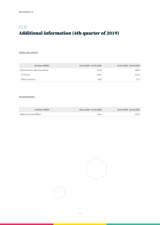## <span id="page-32-0"></span>11.6 Additional information (4th quarter of 2019)

Sales structure:

| (in thou. EURO)                | 01.01.2020 - 31.03.2020 | 01.01.2019 - 31.03.2019 |
|--------------------------------|-------------------------|-------------------------|
| Revenue from sales of products | 242.3                   | 288,9                   |
| - In Poland                    | 155,5                   | 211,6                   |
| - Other countries              | 86.8                    | 77,3                    |

#### Investments:

| (in thou. EURO)         | $01.01.2020 - 31.03.2020$ | $01.01.2019 - 31.03.2019$ |
|-------------------------|---------------------------|---------------------------|
| R&D Investment Offset I | $-89.4$                   | -120.4                    |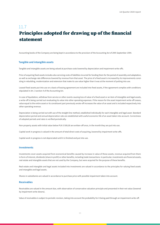## <span id="page-33-0"></span>11.7 Principles adopted for drawing up of the financial statement

Accounting books of the Company are being kept in accordance to the provision of the Accounting Act of 29th September 1994.

#### **Tangible and intangible assets**

Tangible and intangible assets are being valued at purchase costs lowered by depreciation and impairment write-offs.

Price of acquiring fixed assets includes also servicing costs of liabilities incurred for funding them for the period of assembly and adaptation, as well as exchange rate differences lowered by revenue from that asset. The price of a fixed asset is increased by its improvements consisting in rebuilding, modernization and extension that make its use value higher than it was at the moment of putting into use.

Leased fixed assets put into use on a basis of leasing agreement are included into fixed assets, if the agreement complies with conditions stipulated in Art. 3 section 4 of the Accounting Act.

In case of liquidation, withdraw from service or other events causing loss of value of a fixed asset or an item of intangible and legal assets, a write-off is being carried out revaluating its value into other operating expenses. If the reason for the asset impairment write-off ceases, value equal to the entire asset or its constituent part previously wrote-off increases the value of an asset and is included respectively into other operating revenue.

Depreciation is being carried out with use of the straight-line method, established individually for each intangible and legal asset. Standard depreciation period and annual depreciation rate are established with useful economic life of an asset taken into account. Correctness of adopted periods and rates is verified periodically.

Non-property assets with initial value below PLN 3 500,00 are written-off once, in the month they are put into use.

Capital work in progress is valued in the amount of total direct costs of acquiring, lowered by impairment write-offs.

Capital work in progress is not depreciated until it is finished and put into use.

#### **Investments**

Investments cover assets acquired from economical benefits caused by increase in value of these assets, revenue acquired from them in form of interest, dividends (share in profit) or other benefits, including trade transactions. In particular, investments are financial assets, real estate and intangible assets that are not used by the Company, but were acquired for the purpose of these benefits.

Real estate and intangible and legal assets included into investments are valued in accordance to the principles for valuing fixed assets and intangible and legal assets.

Shares in subsidiaries are valued in accordance to purchase price with possible impairment taken into account.

#### **Receivables**

Receivables are valued in the amount due, with observation of conservative valuation principle and presented in their net value (lowered by impairment write-downs).

Value of receivables is subject to periodic revision, taking into account the probability for it being paid through an impairment write-off.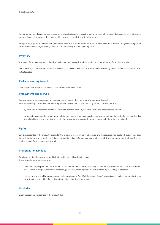Impairment write-offs are also being made for receivables brought to court. Impairment write-offs are included respectively to other operating or financial expenses in dependence of the type of receivable the write-off concerns.

Extinguished, expired or uncollectible (bad) debts lower the previous write-offs lower. If there were no write-offs for a given extinguished, expired or uncollectible (bad) debt, a write-off is made directly in other operating costs.

#### **Inventory**

The value of the inventory is calculated on the basis of purchase price, while rotation is valued with use of the FIFO principle.

In the balance, inventory is presented at its net value, i.e. lowered by the value of write-downs caused by it being valued in accordance to its net sales value.

#### **Cash and cash equivalents**

Cash in bank and at hand is valued in accordance to its nominal value.

#### **Prepayments and accruals**

Prepayments are being presented in relation to costs incurred that concern the future reporting periods. Accruals are being presented in the value of probable debts in the current reporting period, caused in particular:

- by payments made for the benefit of the unit by its trade partners, if the debt value can be realistically valued,
- by obligations related to current activity, future payments to unknown parties that can be estimated despite the fact that the day when liability will arise is not known yet, including warranty repairs and statutory warranty for long life products sold.

#### **Equity**

Equity is presented in the amount indicated in the articles of incorporation and entered into the court register. Declared, but not paid capital contributions are presented as called up share capital not paid. Supplementary capital is made from additional contributions. Reserve capital is made from previous years' profit

#### **Provisions for liabilities**

Provisions for liabilities are presented in their justified, reliably estimated value. These provisions are being made for:

- definite or largely probable future liabilities, the amount of which can be reliably estimated, in particular for losses from economic transactions in progress, for warranties made, guarantees, credit operations, results of court proceedings in progress;
- retirement and disability packages required by provisions of Art. 92 of the Labour Code. The provision is made in amount basing on the estimated probability of reaching retirement age in a 5-year age ranges.

#### **Liabilities**

Liabilities are being presented in the amount due.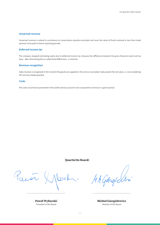#### **Unearned revenue**

Unearned revenue is valued in accordance to conservative valuation principle and cover the value of funds received or due from trade partners to be paid in future reporting periods.

#### **Deferred income tax**

The company stopped estimating assets due to deferred income tax, because the difference between the gross financial result and tax base - after eliminating the so-called fixed differences - is minimal.

#### **Revenue recognition**

Sales revenue is recognized in the moment the goods are supplied or the service is provided. Sale present the net value, i.e. not considering VAT and any rebates granted.

#### **Costs**

The costs incurred are presented in the profit and loss account to be compared to revenue in a given period.

QuarticOn Board:

Parén Mook.

Paweł Wyborski President of the Board

MA GAnglichn

Michał Giergielewicz Member of the Board